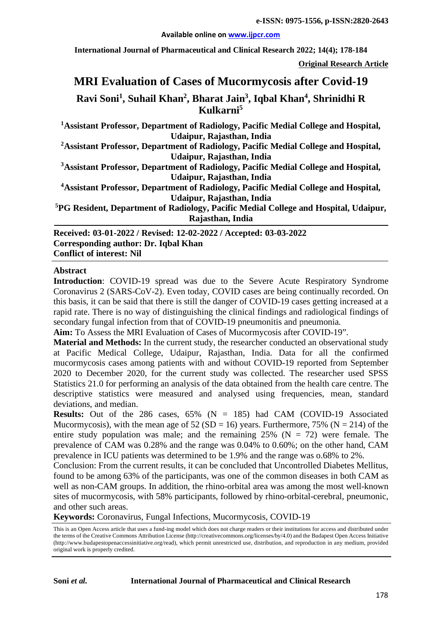#### **Available online on [www.ijpcr.com](http://www.ijpcr.com/)**

**International Journal of Pharmaceutical and Clinical Research 2022; 14(4); 178-184**

**Original Research Article**

# **MRI Evaluation of Cases of Mucormycosis after Covid-19 Ravi Soni1 , Suhail Khan2 , Bharat Jain3 , Iqbal Khan4 , Shrinidhi R Kulkarni5**

**1 Assistant Professor, Department of Radiology, Pacific Medial College and Hospital, Udaipur, Rajasthan, India**

**2 Assistant Professor, Department of Radiology, Pacific Medial College and Hospital, Udaipur, Rajasthan, India**

**3 Assistant Professor, Department of Radiology, Pacific Medial College and Hospital, Udaipur, Rajasthan, India**

**4 Assistant Professor, Department of Radiology, Pacific Medial College and Hospital, Udaipur, Rajasthan, India**

**5 PG Resident, Department of Radiology, Pacific Medial College and Hospital, Udaipur, Rajasthan, India**

**Received: 03-01-2022 / Revised: 12-02-2022 / Accepted: 03-03-2022 Corresponding author: Dr. Iqbal Khan Conflict of interest: Nil**

#### **Abstract**

**Introduction**: COVID-19 spread was due to the Severe Acute Respiratory Syndrome Coronavirus 2 (SARS-CoV-2). Even today, COVID cases are being continually recorded. On this basis, it can be said that there is still the danger of COVID-19 cases getting increased at a rapid rate. There is no way of distinguishing the clinical findings and radiological findings of secondary fungal infection from that of COVID-19 pneumonitis and pneumonia.

**Aim:** To Assess the MRI Evaluation of Cases of Mucormycosis after COVID-19".

**Material and Methods:** In the current study, the researcher conducted an observational study at Pacific Medical College, Udaipur, Rajasthan, India. Data for all the confirmed mucormycosis cases among patients with and without COVID-19 reported from September 2020 to December 2020, for the current study was collected. The researcher used SPSS Statistics 21.0 for performing an analysis of the data obtained from the health care centre. The descriptive statistics were measured and analysed using frequencies, mean, standard deviations, and median.

**Results:** Out of the 286 cases,  $65\%$  (N = 185) had CAM (COVID-19 Associated Mucormycosis), with the mean age of  $52(SD = 16)$  years. Furthermore, 75% (N = 214) of the entire study population was male; and the remaining  $25\%$  (N = 72) were female. The prevalence of CAM was 0.28% and the range was 0.04% to 0.60%; on the other hand, CAM prevalence in ICU patients was determined to be 1.9% and the range was o.68% to 2%.

Conclusion: From the current results, it can be concluded that Uncontrolled Diabetes Mellitus, found to be among 63% of the participants, was one of the common diseases in both CAM as well as non-CAM groups. In addition, the rhino-orbital area was among the most well-known sites of mucormycosis, with 58% participants, followed by rhino-orbital-cerebral, pneumonic, and other such areas.

**Keywords:** Coronavirus, Fungal Infections, Mucormycosis, COVID-19

This is an Open Access article that uses a fund-ing model which does not charge readers or their institutions for access and distributed under the terms of the Creative Commons Attribution License (http://creativecommons.org/licenses/by/4.0) and the Budapest Open Access Initiative (http://www.budapestopenaccessinitiative.org/read), which permit unrestricted use, distribution, and reproduction in any medium, provided original work is properly credited.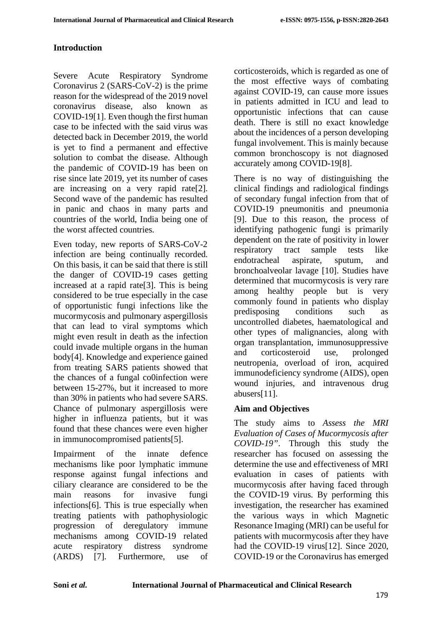#### **Introduction**

Severe Acute Respiratory Syndrome Coronavirus 2 (SARS-CoV-2) is the prime reason for the widespread of the 2019 novel coronavirus disease, also known as COVID-19[1]. Even though the first human case to be infected with the said virus was detected back in December 2019, the world is yet to find a permanent and effective solution to combat the disease. Although the pandemic of COVID-19 has been on rise since late 2019, yet its number of cases are increasing on a very rapid rate[2]. Second wave of the pandemic has resulted in panic and chaos in many parts and countries of the world, India being one of the worst affected countries.

Even today, new reports of SARS-CoV-2 infection are being continually recorded. On this basis, it can be said that there is still the danger of COVID-19 cases getting increased at a rapid rate[3]. This is being considered to be true especially in the case of opportunistic fungi infections like the mucormycosis and pulmonary aspergillosis that can lead to viral symptoms which might even result in death as the infection could invade multiple organs in the human body[4]. Knowledge and experience gained from treating SARS patients showed that the chances of a fungal co0infection were between 15-27%, but it increased to more than 30% in patients who had severe SARS. Chance of pulmonary aspergillosis were higher in influenza patients, but it was found that these chances were even higher in immunocompromised patients[5].

Impairment of the innate defence mechanisms like poor lymphatic immune response against fungal infections and ciliary clearance are considered to be the main reasons for invasive fungi infections[6]. This is true especially when treating patients with pathophysiologic progression of deregulatory immune mechanisms among COVID-19 related acute respiratory distress syndrome (ARDS) [7]. Furthermore, use of

corticosteroids, which is regarded as one of the most effective ways of combating against COVID-19, can cause more issues in patients admitted in ICU and lead to opportunistic infections that can cause death. There is still no exact knowledge about the incidences of a person developing fungal involvement. This is mainly because common bronchoscopy is not diagnosed accurately among COVID-19[8].

There is no way of distinguishing the clinical findings and radiological findings of secondary fungal infection from that of COVID-19 pneumonitis and pneumonia [9]. Due to this reason, the process of identifying pathogenic fungi is primarily dependent on the rate of positivity in lower respiratory tract sample tests like endotracheal aspirate, sputum, and bronchoalveolar lavage [10]. Studies have determined that mucormycosis is very rare among healthy people but is very commonly found in patients who display predisposing conditions such as uncontrolled diabetes, haematological and other types of malignancies, along with organ transplantation, immunosuppressive and corticosteroid use, prolonged neutropenia, overload of iron, acquired immunodeficiency syndrome (AIDS), open wound injuries, and intravenous drug abusers[11].

#### **Aim and Objectives**

The study aims to *Assess the MRI Evaluation of Cases of Mucormycosis after COVID-19"*. Through this study the researcher has focused on assessing the determine the use and effectiveness of MRI evaluation in cases of patients with mucormycosis after having faced through the COVID-19 virus. By performing this investigation, the researcher has examined the various ways in which Magnetic Resonance Imaging (MRI) can be useful for patients with mucormycosis after they have had the COVID-19 virus[12]. Since 2020, COVID-19 or the Coronavirus has emerged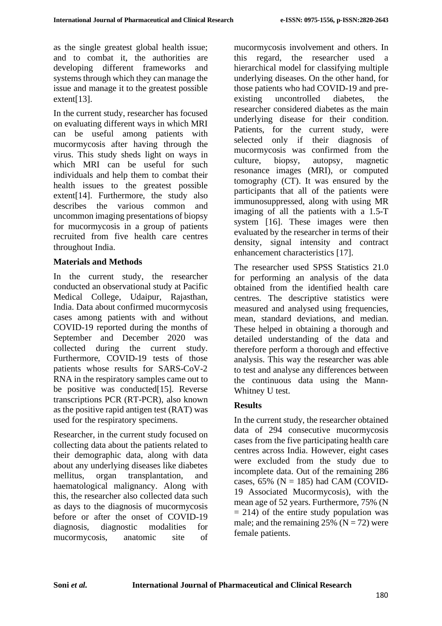as the single greatest global health issue; and to combat it, the authorities are developing different frameworks and systems through which they can manage the issue and manage it to the greatest possible extent[13].

In the current study, researcher has focused on evaluating different ways in which MRI can be useful among patients with mucormycosis after having through the virus. This study sheds light on ways in which MRI can be useful for such individuals and help them to combat their health issues to the greatest possible extent[14]. Furthermore, the study also describes the various common and uncommon imaging presentations of biopsy for mucormycosis in a group of patients recruited from five health care centres throughout India.

#### **Materials and Methods**

In the current study, the researcher conducted an observational study at Pacific Medical College, Udaipur, Rajasthan, India. Data about confirmed mucormycosis cases among patients with and without COVID-19 reported during the months of September and December 2020 was collected during the current study. Furthermore, COVID-19 tests of those patients whose results for SARS-CoV-2 RNA in the respiratory samples came out to be positive was conducted [15]. Reverse transcriptions PCR (RT-PCR), also known as the positive rapid antigen test (RAT) was used for the respiratory specimens.

Researcher, in the current study focused on collecting data about the patients related to their demographic data, along with data about any underlying diseases like diabetes mellitus, organ transplantation, and haematological malignancy. Along with this, the researcher also collected data such as days to the diagnosis of mucormycosis before or after the onset of COVID-19 diagnosis, diagnostic modalities for mucormycosis, anatomic site of

mucormycosis involvement and others. In this regard, the researcher used a hierarchical model for classifying multiple underlying diseases. On the other hand, for those patients who had COVID-19 and preexisting uncontrolled diabetes, the researcher considered diabetes as the main underlying disease for their condition. Patients, for the current study, were selected only if their diagnosis of mucormycosis was confirmed from the culture, biopsy, autopsy, magnetic resonance images (MRI), or computed tomography (CT). It was ensured by the participants that all of the patients were immunosuppressed, along with using MR imaging of all the patients with a 1.5-T system [16]. These images were then evaluated by the researcher in terms of their density, signal intensity and contract enhancement characteristics [17].

The researcher used SPSS Statistics 21.0 for performing an analysis of the data obtained from the identified health care centres. The descriptive statistics were measured and analysed using frequencies, mean, standard deviations, and median. These helped in obtaining a thorough and detailed understanding of the data and therefore perform a thorough and effective analysis. This way the researcher was able to test and analyse any differences between the continuous data using the Mann-Whitney U test.

## **Results**

In the current study, the researcher obtained data of 294 consecutive mucormycosis cases from the five participating health care centres across India. However, eight cases were excluded from the study due to incomplete data. Out of the remaining 286 cases,  $65\%$  (N = 185) had CAM (COVID-19 Associated Mucormycosis), with the mean age of 52 years. Furthermore, 75% (N  $= 214$ ) of the entire study population was male; and the remaining  $25\%$  (N = 72) were female patients.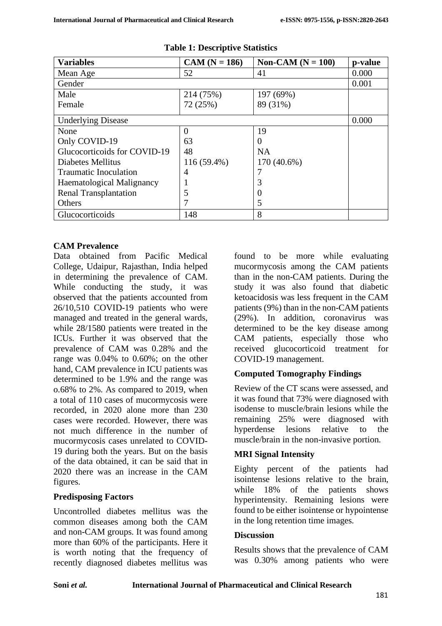| <b>Variables</b>                 | $CAM (N = 186)$ | Non-CAM $(N = 100)$ | p-value |
|----------------------------------|-----------------|---------------------|---------|
| Mean Age                         | 52              | 41                  | 0.000   |
| Gender                           |                 |                     | 0.001   |
| Male                             | 214 (75%)       | 197 (69%)           |         |
| Female                           | 72 (25%)        | 89 (31%)            |         |
| <b>Underlying Disease</b>        |                 |                     | 0.000   |
| None                             | $\Omega$        | 19                  |         |
| Only COVID-19                    | 63              | 0                   |         |
| Glucocorticoids for COVID-19     | 48              | <b>NA</b>           |         |
| Diabetes Mellitus                | 116 (59.4%)     | 170 (40.6%)         |         |
| Traumatic Inoculation            | 4               |                     |         |
| <b>Haematological Malignancy</b> |                 | 3                   |         |
| <b>Renal Transplantation</b>     |                 | 0                   |         |
| Others                           |                 | 5                   |         |
| Glucocorticoids                  | 148             | 8                   |         |

| <b>Table 1: Descriptive Statistics</b> |  |
|----------------------------------------|--|
|----------------------------------------|--|

#### **CAM Prevalence**

Data obtained from Pacific Medical College, Udaipur, Rajasthan, India helped in determining the prevalence of CAM. While conducting the study, it was observed that the patients accounted from 26/10,510 COVID-19 patients who were managed and treated in the general wards, while 28/1580 patients were treated in the ICUs. Further it was observed that the prevalence of CAM was 0.28% and the range was 0.04% to 0.60%; on the other hand, CAM prevalence in ICU patients was determined to be 1.9% and the range was o.68% to 2%. As compared to 2019, when a total of 110 cases of mucormycosis were recorded, in 2020 alone more than 230 cases were recorded. However, there was not much difference in the number of mucormycosis cases unrelated to COVID-19 during both the years. But on the basis of the data obtained, it can be said that in 2020 there was an increase in the CAM figures.

#### **Predisposing Factors**

Uncontrolled diabetes mellitus was the common diseases among both the CAM and non-CAM groups. It was found among more than 60% of the participants. Here it is worth noting that the frequency of recently diagnosed diabetes mellitus was

found to be more while evaluating mucormycosis among the CAM patients than in the non-CAM patients. During the study it was also found that diabetic ketoacidosis was less frequent in the CAM patients (9%) than in the non-CAM patients (29%). In addition, coronavirus was determined to be the key disease among CAM patients, especially those who received glucocorticoid treatment for COVID-19 management.

## **Computed Tomography Findings**

Review of the CT scans were assessed, and it was found that 73% were diagnosed with isodense to muscle/brain lesions while the remaining 25% were diagnosed with hyperdense lesions relative to the muscle/brain in the non-invasive portion.

## **MRI Signal Intensity**

Eighty percent of the patients had isointense lesions relative to the brain, while 18% of the patients shows hyperintensity. Remaining lesions were found to be either isointense or hypointense in the long retention time images.

#### **Discussion**

Results shows that the prevalence of CAM was 0.30% among patients who were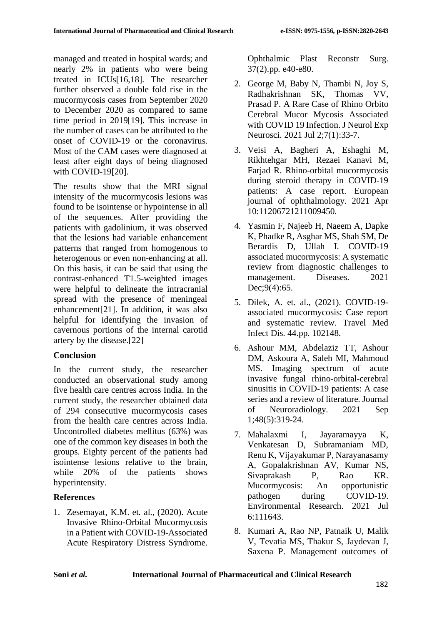managed and treated in hospital wards; and nearly 2% in patients who were being treated in ICUs[16,18]. The researcher further observed a double fold rise in the mucormycosis cases from September 2020 to December 2020 as compared to same time period in 2019[19]. This increase in the number of cases can be attributed to the onset of COVID-19 or the coronavirus. Most of the CAM cases were diagnosed at least after eight days of being diagnosed with COVID-19[20].

The results show that the MRI signal intensity of the mucormycosis lesions was found to be isointense or hypointense in all of the sequences. After providing the patients with gadolinium, it was observed that the lesions had variable enhancement patterns that ranged from homogenous to heterogenous or even non-enhancing at all. On this basis, it can be said that using the contrast-enhanced T1.5-weighted images were helpful to delineate the intracranial spread with the presence of meningeal enhancement[21]. In addition, it was also helpful for identifying the invasion of cavernous portions of the internal carotid artery by the disease.[22]

#### **Conclusion**

In the current study, the researcher conducted an observational study among five health care centres across India. In the current study, the researcher obtained data of 294 consecutive mucormycosis cases from the health care centres across India. Uncontrolled diabetes mellitus (63%) was one of the common key diseases in both the groups. Eighty percent of the patients had isointense lesions relative to the brain, while 20% of the patients shows hyperintensity.

## **References**

1. Zesemayat, K.M. et. al., (2020). Acute Invasive Rhino-Orbital Mucormycosis in a Patient with COVID-19-Associated Acute Respiratory Distress Syndrome. Ophthalmic Plast Reconstr Surg. 37(2).pp. e40-e80.

- 2. George M, Baby N, Thambi N, Joy S, Radhakrishnan SK, Thomas VV, Prasad P. A Rare Case of Rhino Orbito Cerebral Mucor Mycosis Associated with COVID 19 Infection. J Neurol Exp Neurosci. 2021 Jul 2;7(1):33-7.
- 3. Veisi A, Bagheri A, Eshaghi M, Rikhtehgar MH, Rezaei Kanavi M, Farjad R. Rhino-orbital mucormycosis during steroid therapy in COVID-19 patients: A case report. European journal of ophthalmology. 2021 Apr 10:11206721211009450.
- 4. Yasmin F, Najeeb H, Naeem A, Dapke K, Phadke R, Asghar MS, Shah SM, De Berardis D, Ullah I. COVID-19 associated mucormycosis: A systematic review from diagnostic challenges to management. Diseases. 2021 Dec; 9(4): 65.
- 5. Dilek, A. et. al., (2021). COVID-19 associated mucormycosis: Case report and systematic review. Travel Med Infect Dis. 44.pp. 102148.
- 6. Ashour MM, Abdelaziz TT, Ashour DM, Askoura A, Saleh MI, Mahmoud MS. Imaging spectrum of acute invasive fungal rhino-orbital-cerebral sinusitis in COVID-19 patients: A case series and a review of literature. Journal of Neuroradiology. 2021 Sep 1;48(5):319-24.
- 7. Mahalaxmi I, Jayaramayya K, Venkatesan D, Subramaniam MD, Renu K, Vijayakumar P, Narayanasamy A, Gopalakrishnan AV, Kumar NS, Sivaprakash P, Rao KR. Mucormycosis: An opportunistic pathogen during COVID-19. Environmental Research. 2021 Jul 6:111643.
- 8. Kumari A, Rao NP, Patnaik U, Malik V, Tevatia MS, Thakur S, Jaydevan J, Saxena P. Management outcomes of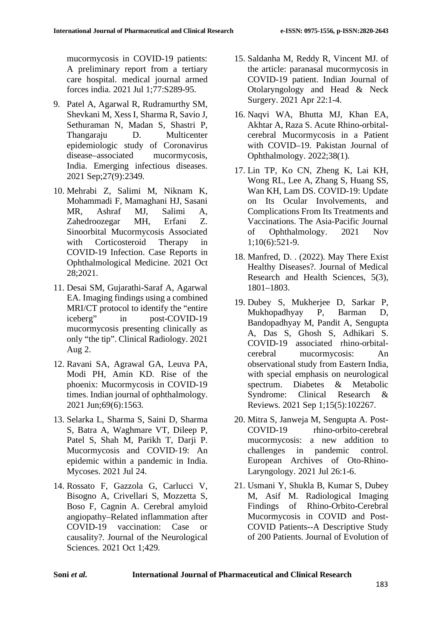mucormycosis in COVID-19 patients: A preliminary report from a tertiary care hospital. medical journal armed forces india. 2021 Jul 1;77:S289-95.

- 9. Patel A, Agarwal R, Rudramurthy SM, Shevkani M, Xess I, Sharma R, Savio J, Sethuraman N, Madan S, Shastri P, Thangaraju D. Multicenter epidemiologic study of Coronavirus disease–associated mucormycosis, India. Emerging infectious diseases. 2021 Sep;27(9):2349.
- 10. Mehrabi Z, Salimi M, Niknam K, Mohammadi F, Mamaghani HJ, Sasani MR, Ashraf MJ, Salimi A, Zahedroozegar MH, Erfani Z. Sinoorbital Mucormycosis Associated with Corticosteroid Therapy in COVID-19 Infection. Case Reports in Ophthalmological Medicine. 2021 Oct 28;2021.
- 11. Desai SM, Gujarathi-Saraf A, Agarwal EA. Imaging findings using a combined MRI/CT protocol to identify the "entire iceberg" in post-COVID-19 mucormycosis presenting clinically as only "the tip". Clinical Radiology. 2021 Aug 2.
- 12. Ravani SA, Agrawal GA, Leuva PA, Modi PH, Amin KD. Rise of the phoenix: Mucormycosis in COVID-19 times. Indian journal of ophthalmology. 2021 Jun;69(6):1563.
- 13. Selarka L, Sharma S, Saini D, Sharma S, Batra A, Waghmare VT, Dileep P, Patel S, Shah M, Parikh T, Darji P. Mucormycosis and COVID‐19: An epidemic within a pandemic in India. Mycoses. 2021 Jul 24.
- 14. Rossato F, Gazzola G, Carlucci V, Bisogno A, Crivellari S, Mozzetta S, Boso F, Cagnin A. Cerebral amyloid angiopathy–Related inflammation after COVID-19 vaccination: Case or causality?. Journal of the Neurological Sciences. 2021 Oct 1;429.
- 15. Saldanha M, Reddy R, Vincent MJ. of the article: paranasal mucormycosis in COVID-19 patient. Indian Journal of Otolaryngology and Head & Neck Surgery. 2021 Apr 22:1-4.
- 16. Naqvi WA, Bhutta MJ, Khan EA, Akhtar A, Raza S. Acute Rhino-orbitalcerebral Mucormycosis in a Patient with COVID–19. Pakistan Journal of Ophthalmology. 2022;38(1).
- 17. Lin TP, Ko CN, Zheng K, Lai KH, Wong RL, Lee A, Zhang S, Huang SS, Wan KH, Lam DS. COVID-19: Update on Its Ocular Involvements, and Complications From Its Treatments and Vaccinations. The Asia-Pacific Journal of Ophthalmology. 2021 Nov 1;10(6):521-9.
- 18. Manfred, D. . (2022). May There Exist Healthy Diseases?. Journal of Medical Research and Health Sciences, 5(3), 1801–1803.
- 19. Dubey S, Mukherjee D, Sarkar P, Mukhopadhyay P, Barman D, Bandopadhyay M, Pandit A, Sengupta A, Das S, Ghosh S, Adhikari S. COVID-19 associated rhino-orbitalcerebral mucormycosis: An observational study from Eastern India, with special emphasis on neurological spectrum. Diabetes & Metabolic Syndrome: Clinical Research & Reviews. 2021 Sep 1;15(5):102267.
- 20. Mitra S, Janweja M, Sengupta A. Post-COVID-19 rhino-orbito-cerebral mucormycosis: a new addition to challenges in pandemic control. European Archives of Oto-Rhino-Laryngology. 2021 Jul 26:1-6.
- 21. Usmani Y, Shukla B, Kumar S, Dubey M, Asif M. Radiological Imaging Findings of Rhino-Orbito-Cerebral Mucormycosis in COVID and Post-COVID Patients--A Descriptive Study of 200 Patients. Journal of Evolution of